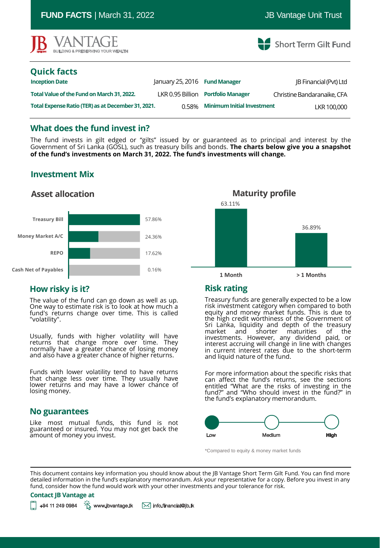| $\frac{1}{2}$ . $\frac{1}{2}$ . $\frac{1}{2}$ . $\frac{1}{2}$ . $\frac{1}{2}$ . $\frac{1}{2}$ . $\frac{1}{2}$ . $\frac{1}{2}$ . $\frac{1}{2}$ . $\frac{1}{2}$ . $\frac{1}{2}$ |                               |                                   |                               |
|-------------------------------------------------------------------------------------------------------------------------------------------------------------------------------|-------------------------------|-----------------------------------|-------------------------------|
| <b>IB VANTAGE</b><br>BUILDING & PRESERVING YOUR WEALTH                                                                                                                        |                               |                                   | Short Term Gilt Fund          |
| <b>Quick facts</b>                                                                                                                                                            |                               |                                   |                               |
| <b>Inception Date</b>                                                                                                                                                         | January 25, 2016 Fund Manager |                                   | <b>IB Financial (Pvt) Ltd</b> |
| Total Value of the Fund on March 31, 2022.                                                                                                                                    | LKR 0.95 Billion              | <b>Portfolio Manager</b>          | Christine Bandaranaike, CFA   |
| Total Expense Ratio (TER) as at December 31, 2021.                                                                                                                            | 0.58%                         | <b>Minimum Initial Investment</b> | LKR 100,000                   |
|                                                                                                                                                                               |                               |                                   |                               |

**FUND FACTS** | March 31, 2022 JB Vantage Unit Trust

#### **What does the fund invest in?**

The fund invests in gilt edged or "gilts" issued by or guaranteed as to principal and interest by the Government of Sri Lanka (GOSL), such as treasury bills and bonds. **The charts below give you a snapshot of the fund's investments on March 31, 2022. The fund's investments will change.**

# **Investment Mix**

### **Asset allocation**





# **How risky is it?**

The value of the fund can go down as well as up. One way to estimate risk is to look at how much a fund's returns change over time. This is called "volatility".

Usually, funds with higher volatility will have returns that change more over time. They normally have a greater chance of losing money and also have a greater chance of higher returns.

Funds with lower volatility tend to have returns that change less over time. They usually have lower returns and may have a lower chance of losing money.

#### **No guarantees**

Like most mutual funds, this fund is not guaranteed or insured. You may not get back the amount of money you invest.

# **Risk rating**

Treasury funds are generally expected to be a low risk investment category when compared to both equity and money market funds. This is due to the high credit worthiness of the Government of Sri Lanka, liquidity and depth of the treasury market and shorter maturities of the investments. However, any dividend paid, or interest accruing will change in line with changes in current interest rates due to the short-term and liquid nature of the fund.

For more information about the specific risks that can affect the fund's returns, see the sections entitled "What are the risks of investing in the fund?" and "Who should invest in the fund?" in the fund's explanatory memorandum.



\*Compared to equity & money market funds

This document contains key information you should know about the JB Vantage Short Term Gilt Fund. You can find more detailed information in the fund's explanatory memorandum. Ask your representative for a copy. Before you invest in any fund, consider how the fund would work with your other investments and your tolerance for risk.

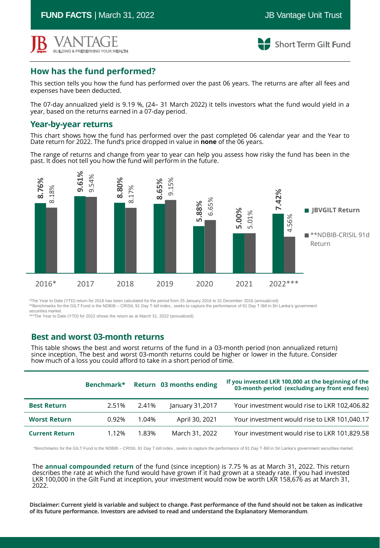**FUND FACTS** | March 31, 2022 **JB** Vantage Unit Trust



**Short Term Gilt Fund** 

# **How has the fund performed?**

This section tells you how the fund has performed over the past 06 years. The returns are after all fees and expenses have been deducted.

The 07-day annualized yield is 9.19 %, (24– 31 March 2022) it tells investors what the fund would yield in a year, based on the returns earned in a 07-day period.

#### **Year-by-year returns**

This chart shows how the fund has performed over the past completed 06 calendar year and the Year to Date return for 2022. The fund's price dropped in value in **none** of the 06 years.

The range of returns and change from year to year can help you assess how risky the fund has been in the past. It does not tell you how the fund will perform in the future.



\*The Year to Date (YTD) return for 2016 has been calculated for the period from 25 January 2016 to 31 December 2016 (annualized) \*\*Benchmarks for the GILT Fund is the NDBIB – CRISIL 91 Day T-bill index., seeks to capture the performance of 91 Day T-Bill in Sri Lanka's government securities market.

\*\*\*The Year to Date (YTD) for 2022 shows the return as at March 31, 2022 (annualized)

### **Best and worst 03-month returns**

This table shows the best and worst returns of the fund in a 03-month period (non annualized return) since inception. The best and worst 03-month returns could be higher or lower in the future. Consider how much of a loss you could afford to take in a short period of time.

|                       | Benchmark* |          | Return 03 months ending | If you invested LKR 100,000 at the beginning of the<br>03-month period (excluding any front end fees) |
|-----------------------|------------|----------|-------------------------|-------------------------------------------------------------------------------------------------------|
| <b>Best Return</b>    | 2.51%      | 2.41%    | January 31,2017         | Your investment would rise to LKR 102,406.82                                                          |
| <b>Worst Return</b>   | 0.92%      | $1.04\%$ | April 30, 2021          | Your investment would rise to LKR 101,040.17                                                          |
| <b>Current Return</b> | 1.12%      | 1.83%    | March 31, 2022          | Your investment would rise to LKR 101,829.58                                                          |

\*Benchmarks for the GILT Fund is the NDBIB – CRISIL 91 Day T-bill index., seeks to capture the performance of 91 Day T-Bill in Sri Lanka's government securities market.

The **annual compounded return** of the fund (since inception) is 7.75 % as at March 31, 2022. This return describes the rate at which the fund would have grown if it had grown at a steady rate. If you had invested LKR 100,000 in the Gilt Fund at inception, your investment would now be worth LKR 158,676 as at March 31, 2022.

Disclaimer: Current yield is variable and subject to change. Past performance of the fund should not be taken as indicative<br>of its future performance. Investors are advised to read and understand the Explanatory Memorandum